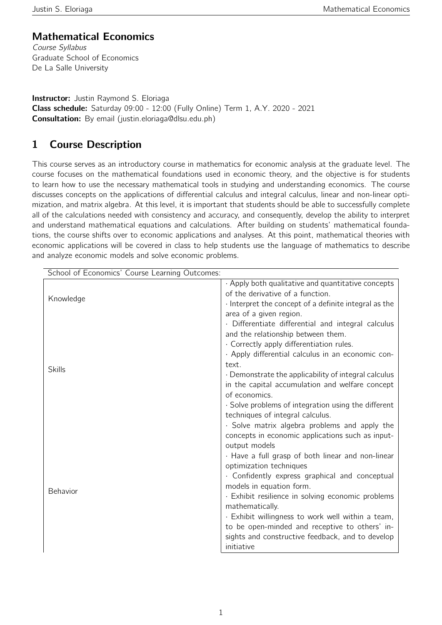### Mathematical Economics

Course Syllabus Graduate School of Economics De La Salle University

**Instructor:** Justin Raymond S. Eloriaga Class schedule: Saturday 09:00 - 12:00 (Fully Online) Term 1, A.Y. 2020 - 2021 Consultation: By email (justin.eloriaga@dlsu.edu.ph)

# 1 Course Description

This course serves as an introductory course in mathematics for economic analysis at the graduate level. The course focuses on the mathematical foundations used in economic theory, and the objective is for students to learn how to use the necessary mathematical tools in studying and understanding economics. The course discusses concepts on the applications of differential calculus and integral calculus, linear and non-linear optimization, and matrix algebra. At this level, it is important that students should be able to successfully complete all of the calculations needed with consistency and accuracy, and consequently, develop the ability to interpret and understand mathematical equations and calculations. After building on students' mathematical foundations, the course shifts over to economic applications and analyses. At this point, mathematical theories with economic applications will be covered in class to help students use the language of mathematics to describe and analyze economic models and solve economic problems.

| School of Economics' Course Learning Outcomes: |                                                                   |
|------------------------------------------------|-------------------------------------------------------------------|
| Knowledge<br><b>Skills</b>                     | . Apply both qualitative and quantitative concepts                |
|                                                | of the derivative of a function.                                  |
|                                                | Interpret the concept of a definite integral as the               |
|                                                | area of a given region.                                           |
|                                                | Differentiate differential and integral calculus                  |
|                                                | and the relationship between them.                                |
|                                                | · Correctly apply differentiation rules.                          |
|                                                | · Apply differential calculus in an economic con-                 |
|                                                | text.                                                             |
|                                                | · Demonstrate the applicability of integral calculus              |
|                                                | in the capital accumulation and welfare concept                   |
|                                                | of economics.                                                     |
|                                                | · Solve problems of integration using the different               |
|                                                | techniques of integral calculus.                                  |
|                                                | · Solve matrix algebra problems and apply the                     |
| <b>Behavior</b>                                | concepts in economic applications such as input-<br>output models |
|                                                | . Have a full grasp of both linear and non-linear                 |
|                                                | optimization techniques                                           |
|                                                | · Confidently express graphical and conceptual                    |
|                                                | models in equation form.                                          |
|                                                | · Exhibit resilience in solving economic problems                 |
|                                                | mathematically.                                                   |
|                                                | . Exhibit willingness to work well within a team,                 |
|                                                | to be open-minded and receptive to others' in-                    |
|                                                | sights and constructive feedback, and to develop                  |
|                                                | initiative                                                        |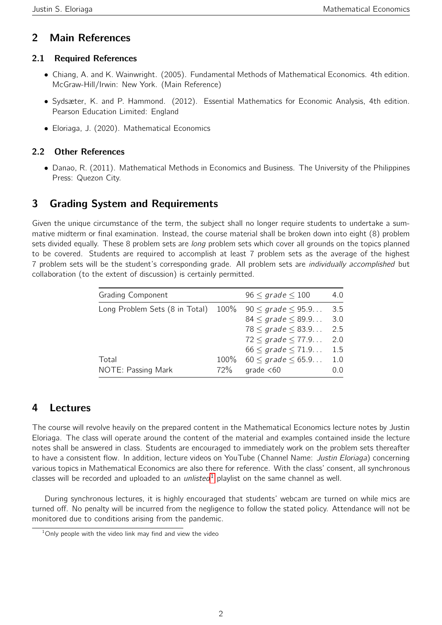#### 2 Main References

#### 2.1 Required References

- Chiang, A. and K. Wainwright. (2005). Fundamental Methods of Mathematical Economics. 4th edition. McGraw-Hill/Irwin: New York. (Main Reference)
- Sydsæter, K. and P. Hammond. (2012). Essential Mathematics for Economic Analysis, 4th edition. Pearson Education Limited: England
- Eloriaga, J. (2020). Mathematical Economics

#### 2.2 Other References

• Danao, R. (2011). Mathematical Methods in Economics and Business. The University of the Philippines Press: Quezon City.

### 3 Grading System and Requirements

Given the unique circumstance of the term, the subject shall no longer require students to undertake a summative midterm or final examination. Instead, the course material shall be broken down into eight (8) problem sets divided equally. These 8 problem sets are *long* problem sets which cover all grounds on the topics planned to be covered. Students are required to accomplish at least 7 problem sets as the average of the highest 7 problem sets will be the student's corresponding grade. All problem sets are individually accomplished but collaboration (to the extent of discussion) is certainly permitted.

| <b>Grading Component</b>            |             | $96 \leq$ grade $\leq 100$                                                              | 4.0               |
|-------------------------------------|-------------|-----------------------------------------------------------------------------------------|-------------------|
| Long Problem Sets (8 in Total) 100% |             | $90 \leq grade \leq 95.9$<br>$84 \leq$ grade $\leq 89.9$<br>$78 \leq$ grade $\leq$ 83.9 | 3.5<br>3.0<br>2.5 |
|                                     |             | $72 \leq$ grade $\leq$ 77.9<br>$66 \leq grade \leq 71.9$                                | 2.0<br>1.5        |
| Total<br>NOTE: Passing Mark         | 100%<br>72% | $60 \leq$ grade $\leq 65.9$<br>qrade $< 60$                                             | 1.0<br>0.0        |

#### 4 Lectures

The course will revolve heavily on the prepared content in the Mathematical Economics lecture notes by Justin Eloriaga. The class will operate around the content of the material and examples contained inside the lecture notes shall be answered in class. Students are encouraged to immediately work on the problem sets thereafter to have a consistent flow. In addition, lecture videos on YouTube (Channel Name: Justin Eloriaga) concerning various topics in Mathematical Economics are also there for reference. With the class' consent, all synchronous classes will be recorded and uploaded to an *unlisted*<sup>[1](#page-1-0)</sup> playlist on the same channel as well.

During synchronous lectures, it is highly encouraged that students' webcam are turned on while mics are turned off. No penalty will be incurred from the negligence to follow the stated policy. Attendance will not be monitored due to conditions arising from the pandemic.

<span id="page-1-0"></span> $1$ Only people with the video link may find and view the video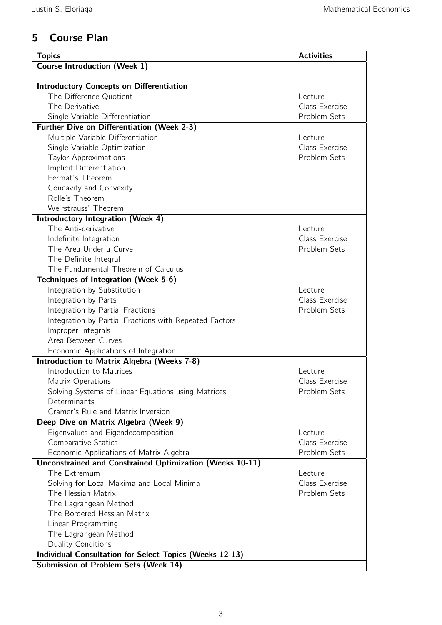# 5 Course Plan

| <b>Topics</b>                                                   | <b>Activities</b> |
|-----------------------------------------------------------------|-------------------|
| <b>Course Introduction (Week 1)</b>                             |                   |
|                                                                 |                   |
| <b>Introductory Concepts on Differentiation</b>                 |                   |
| The Difference Quotient                                         | Lecture           |
| The Derivative                                                  | Class Exercise    |
| Single Variable Differentiation                                 | Problem Sets      |
| <b>Further Dive on Differentiation (Week 2-3)</b>               |                   |
| Multiple Variable Differentiation                               | Lecture           |
| Single Variable Optimization                                    | Class Exercise    |
| <b>Taylor Approximations</b>                                    | Problem Sets      |
| Implicit Differentiation                                        |                   |
| Fermat's Theorem                                                |                   |
| Concavity and Convexity                                         |                   |
| Rolle's Theorem                                                 |                   |
| Weirstrauss' Theorem                                            |                   |
| <b>Introductory Integration (Week 4)</b>                        |                   |
| The Anti-derivative                                             | Lecture           |
| Indefinite Integration                                          | Class Exercise    |
| The Area Under a Curve                                          | Problem Sets      |
| The Definite Integral                                           |                   |
| The Fundamental Theorem of Calculus                             |                   |
| Techniques of Integration (Week 5-6)                            |                   |
| Integration by Substitution                                     | Lecture           |
| Integration by Parts                                            | Class Exercise    |
| Integration by Partial Fractions                                | Problem Sets      |
| Integration by Partial Fractions with Repeated Factors          |                   |
| Improper Integrals                                              |                   |
| Area Between Curves                                             |                   |
| Economic Applications of Integration                            |                   |
| Introduction to Matrix Algebra (Weeks 7-8)                      |                   |
| Introduction to Matrices                                        | Lecture           |
| Matrix Operations                                               | Class Exercise    |
| Solving Systems of Linear Equations using Matrices              | Problem Sets      |
| Determinants                                                    |                   |
| Cramer's Rule and Matrix Inversion                              |                   |
| Deep Dive on Matrix Algebra (Week 9)                            |                   |
| Eigenvalues and Eigendecomposition                              | Lecture           |
| <b>Comparative Statics</b>                                      | Class Exercise    |
| Economic Applications of Matrix Algebra                         | Problem Sets      |
| <b>Unconstrained and Constrained Optimization (Weeks 10-11)</b> |                   |
| The Extremum                                                    | Lecture           |
| Solving for Local Maxima and Local Minima                       | Class Exercise    |
| The Hessian Matrix                                              | Problem Sets      |
| The Lagrangean Method                                           |                   |
| The Bordered Hessian Matrix                                     |                   |
| Linear Programming                                              |                   |
| The Lagrangean Method                                           |                   |
| Duality Conditions                                              |                   |
| <b>Individual Consultation for Select Topics (Weeks 12-13)</b>  |                   |
| <b>Submission of Problem Sets (Week 14)</b>                     |                   |